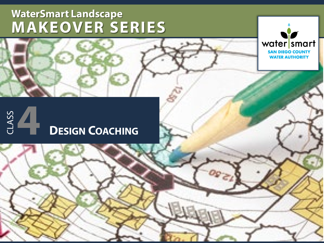

# CLASS **2**CLASS **4 DESIGN COACHING**

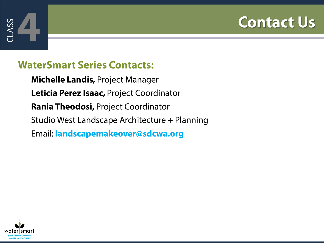# **4 Contact Us**



### **WaterSmart Series Contacts:**

**Michelle Landis,** Project Manager **Leticia Perez Isaac,** Project Coordinator **Rania Theodosi,** Project Coordinator Studio West Landscape Architecture + Planning Email: **landscapemakeover@sdcwa.org**

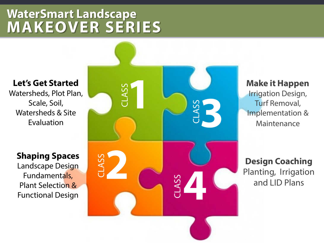#### **Let's Get Started**

Watersheds, Plot Plan, Scale, Soil, Watersheds & Site Evaluation

#### **Shaping Spaces**

Landscape Design Fundamentals, Plant Selection & Functional Design



#### **Make it Happen**

Irrigation Design, Turf Removal, Implementation & Maintenance

**Design Coaching**  Planting, Irrigation and LID Plans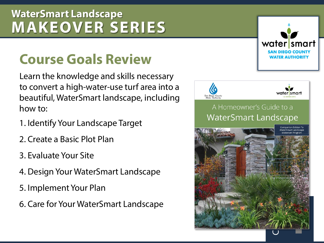# **Course Goals Review**

Learn the knowledge and skills necessary to convert a high-water-use turf area into a beautiful, WaterSmart landscape, including how to:

- 1. Identify Your Landscape Target
- 2. Create a Basic Plot Plan
- 3. Evaluate Your Site
- 4. Design Your WaterSmart Landscape
- 5. Implement Your Plan
- 6. Care for Your WaterSmart Landscape



water smart **SAN DIEGO COUNTY** WATER AUTHORITY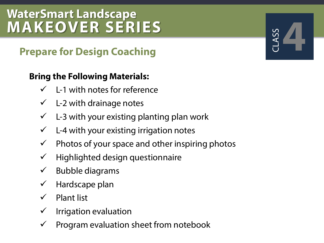## **Prepare for Design Coaching**

#### **Bring the Following Materials:**

- $\checkmark$  L-1 with notes for reference
- $\checkmark$  L-2 with drainage notes
- $\checkmark$  L-3 with your existing planting plan work
- $\checkmark$  L-4 with your existing irrigation notes
- $\checkmark$  Photos of your space and other inspiring photos
- $\checkmark$  Highlighted design questionnaire
- $\checkmark$  Bubble diagrams
- $\checkmark$  Hardscape plan
- $\checkmark$  Plant list
- $\checkmark$  Irrigation evaluation
- Program evaluation sheet from notebook